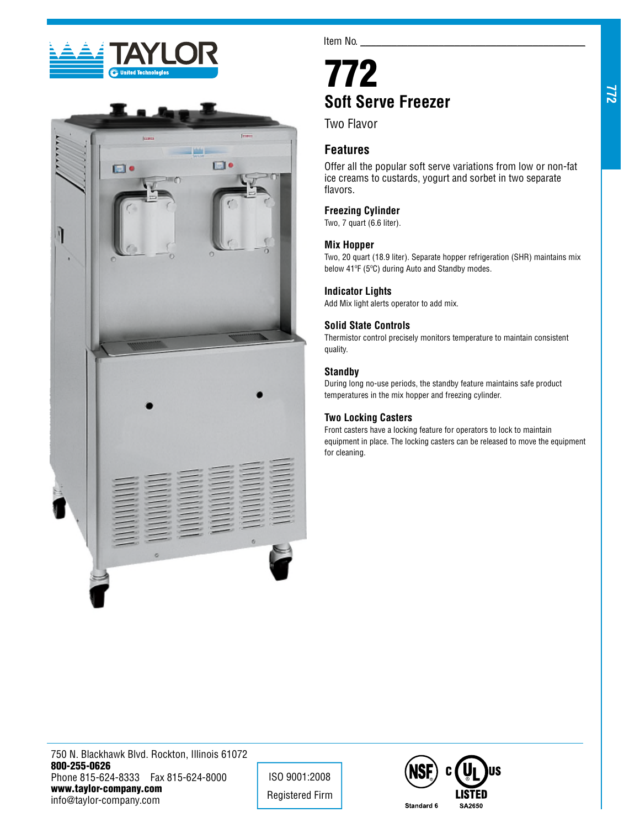



Item No.

# 772 **Soft Serve Freezer**

Two Flavor

# **Features**

Offer all the popular soft serve variations from low or non-fat ice creams to custards, yogurt and sorbet in two separate flavors.

# **Freezing Cylinder**

Two, 7 quart (6.6 liter).

# **Mix Hopper**

Two, 20 quart (18.9 liter). Separate hopper refrigeration (SHR) maintains mix below 41ºF (5ºC) during Auto and Standby modes.

# **Indicator Lights**

Add Mix light alerts operator to add mix.

# **Solid State Controls**

Thermistor control precisely monitors temperature to maintain consistent quality.

# **Standby**

During long no-use periods, the standby feature maintains safe product temperatures in the mix hopper and freezing cylinder.

# **Two Locking Casters**

Front casters have a locking feature for operators to lock to maintain equipment in place. The locking casters can be released to move the equipment for cleaning.

772

750 N. Blackhawk Blvd. Rockton, Illinois 61072 800-255-0626 Phone 815-624-8333 Fax 815-624-8000 www.taylor-company.com info@taylor-company.com

ISO 9001:2008 Registered Firm